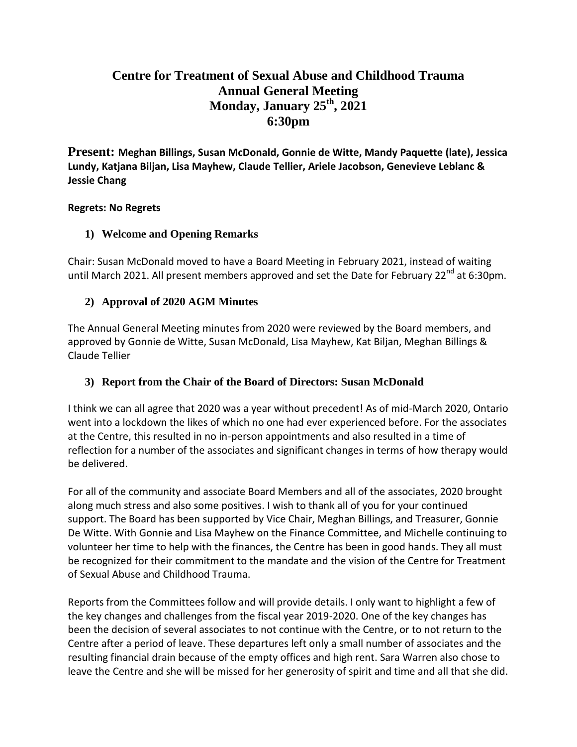# **Centre for Treatment of Sexual Abuse and Childhood Trauma Annual General Meeting Monday, January 25th, 2021 6:30pm**

**Present: Meghan Billings, Susan McDonald, Gonnie de Witte, Mandy Paquette (late), Jessica Lundy, Katjana Biljan, Lisa Mayhew, Claude Tellier, Ariele Jacobson, Genevieve Leblanc & Jessie Chang**

### **Regrets: No Regrets**

### **1) Welcome and Opening Remarks**

Chair: Susan McDonald moved to have a Board Meeting in February 2021, instead of waiting until March 2021. All present members approved and set the Date for February 22<sup>nd</sup> at 6:30pm.

### **2) Approval of 2020 AGM Minutes**

The Annual General Meeting minutes from 2020 were reviewed by the Board members, and approved by Gonnie de Witte, Susan McDonald, Lisa Mayhew, Kat Biljan, Meghan Billings & Claude Tellier

### **3) Report from the Chair of the Board of Directors: Susan McDonald**

I think we can all agree that 2020 was a year without precedent! As of mid-March 2020, Ontario went into a lockdown the likes of which no one had ever experienced before. For the associates at the Centre, this resulted in no in-person appointments and also resulted in a time of reflection for a number of the associates and significant changes in terms of how therapy would be delivered.

For all of the community and associate Board Members and all of the associates, 2020 brought along much stress and also some positives. I wish to thank all of you for your continued support. The Board has been supported by Vice Chair, Meghan Billings, and Treasurer, Gonnie De Witte. With Gonnie and Lisa Mayhew on the Finance Committee, and Michelle continuing to volunteer her time to help with the finances, the Centre has been in good hands. They all must be recognized for their commitment to the mandate and the vision of the Centre for Treatment of Sexual Abuse and Childhood Trauma.

Reports from the Committees follow and will provide details. I only want to highlight a few of the key changes and challenges from the fiscal year 2019-2020. One of the key changes has been the decision of several associates to not continue with the Centre, or to not return to the Centre after a period of leave. These departures left only a small number of associates and the resulting financial drain because of the empty offices and high rent. Sara Warren also chose to leave the Centre and she will be missed for her generosity of spirit and time and all that she did.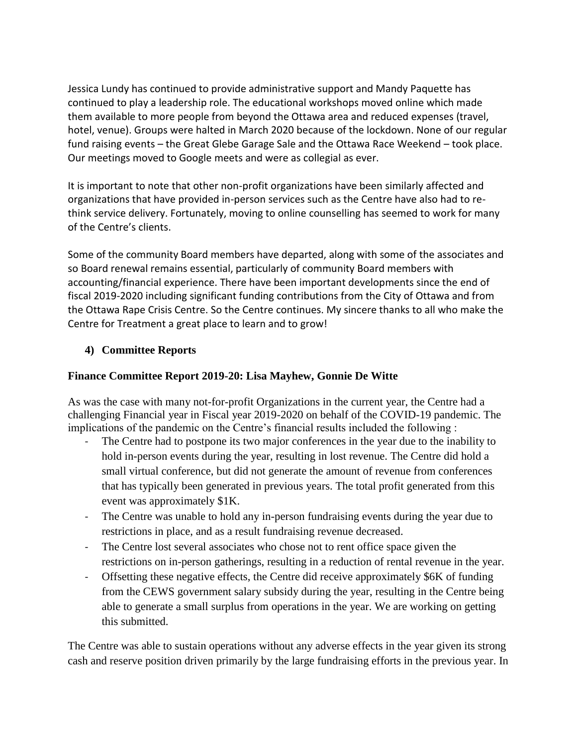Jessica Lundy has continued to provide administrative support and Mandy Paquette has continued to play a leadership role. The educational workshops moved online which made them available to more people from beyond the Ottawa area and reduced expenses (travel, hotel, venue). Groups were halted in March 2020 because of the lockdown. None of our regular fund raising events – the Great Glebe Garage Sale and the Ottawa Race Weekend – took place. Our meetings moved to Google meets and were as collegial as ever.

It is important to note that other non-profit organizations have been similarly affected and organizations that have provided in-person services such as the Centre have also had to rethink service delivery. Fortunately, moving to online counselling has seemed to work for many of the Centre's clients.

Some of the community Board members have departed, along with some of the associates and so Board renewal remains essential, particularly of community Board members with accounting/financial experience. There have been important developments since the end of fiscal 2019-2020 including significant funding contributions from the City of Ottawa and from the Ottawa Rape Crisis Centre. So the Centre continues. My sincere thanks to all who make the Centre for Treatment a great place to learn and to grow!

### **4) Committee Reports**

#### **Finance Committee Report 2019-20: Lisa Mayhew, Gonnie De Witte**

As was the case with many not-for-profit Organizations in the current year, the Centre had a challenging Financial year in Fiscal year 2019-2020 on behalf of the COVID-19 pandemic. The implications of the pandemic on the Centre's financial results included the following :

- The Centre had to postpone its two major conferences in the year due to the inability to hold in-person events during the year, resulting in lost revenue. The Centre did hold a small virtual conference, but did not generate the amount of revenue from conferences that has typically been generated in previous years. The total profit generated from this event was approximately \$1K.
- The Centre was unable to hold any in-person fundraising events during the year due to restrictions in place, and as a result fundraising revenue decreased.
- The Centre lost several associates who chose not to rent office space given the restrictions on in-person gatherings, resulting in a reduction of rental revenue in the year.
- Offsetting these negative effects, the Centre did receive approximately \$6K of funding from the CEWS government salary subsidy during the year, resulting in the Centre being able to generate a small surplus from operations in the year. We are working on getting this submitted.

The Centre was able to sustain operations without any adverse effects in the year given its strong cash and reserve position driven primarily by the large fundraising efforts in the previous year. In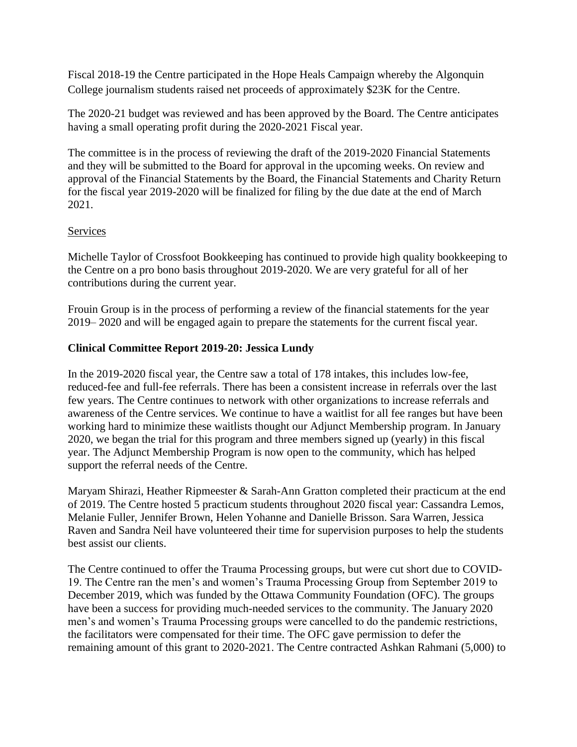Fiscal 2018-19 the Centre participated in the Hope Heals Campaign whereby the Algonquin College journalism students raised net proceeds of approximately \$23K for the Centre.

The 2020-21 budget was reviewed and has been approved by the Board. The Centre anticipates having a small operating profit during the 2020-2021 Fiscal year.

The committee is in the process of reviewing the draft of the 2019-2020 Financial Statements and they will be submitted to the Board for approval in the upcoming weeks. On review and approval of the Financial Statements by the Board, the Financial Statements and Charity Return for the fiscal year 2019-2020 will be finalized for filing by the due date at the end of March 2021.

#### Services

Michelle Taylor of Crossfoot Bookkeeping has continued to provide high quality bookkeeping to the Centre on a pro bono basis throughout 2019-2020. We are very grateful for all of her contributions during the current year.

Frouin Group is in the process of performing a review of the financial statements for the year 2019– 2020 and will be engaged again to prepare the statements for the current fiscal year.

#### **Clinical Committee Report 2019-20: Jessica Lundy**

In the 2019-2020 fiscal year, the Centre saw a total of 178 intakes, this includes low-fee, reduced-fee and full-fee referrals. There has been a consistent increase in referrals over the last few years. The Centre continues to network with other organizations to increase referrals and awareness of the Centre services. We continue to have a waitlist for all fee ranges but have been working hard to minimize these waitlists thought our Adjunct Membership program. In January 2020, we began the trial for this program and three members signed up (yearly) in this fiscal year. The Adjunct Membership Program is now open to the community, which has helped support the referral needs of the Centre.

Maryam Shirazi, Heather Ripmeester & Sarah-Ann Gratton completed their practicum at the end of 2019. The Centre hosted 5 practicum students throughout 2020 fiscal year: Cassandra Lemos, Melanie Fuller, Jennifer Brown, Helen Yohanne and Danielle Brisson. Sara Warren, Jessica Raven and Sandra Neil have volunteered their time for supervision purposes to help the students best assist our clients.

The Centre continued to offer the Trauma Processing groups, but were cut short due to COVID-19. The Centre ran the men's and women's Trauma Processing Group from September 2019 to December 2019, which was funded by the Ottawa Community Foundation (OFC). The groups have been a success for providing much-needed services to the community. The January 2020 men's and women's Trauma Processing groups were cancelled to do the pandemic restrictions, the facilitators were compensated for their time. The OFC gave permission to defer the remaining amount of this grant to 2020-2021. The Centre contracted Ashkan Rahmani (5,000) to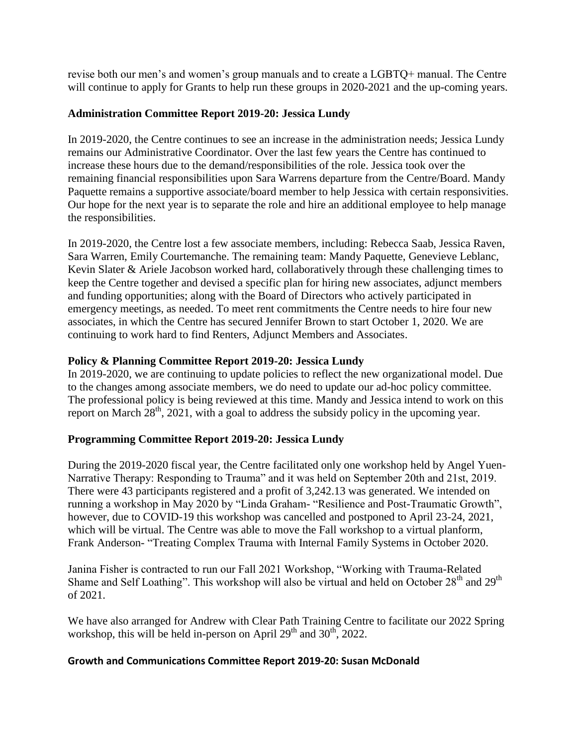revise both our men's and women's group manuals and to create a LGBTQ+ manual. The Centre will continue to apply for Grants to help run these groups in 2020-2021 and the up-coming years.

### **Administration Committee Report 2019-20: Jessica Lundy**

In 2019-2020, the Centre continues to see an increase in the administration needs; Jessica Lundy remains our Administrative Coordinator. Over the last few years the Centre has continued to increase these hours due to the demand/responsibilities of the role. Jessica took over the remaining financial responsibilities upon Sara Warrens departure from the Centre/Board. Mandy Paquette remains a supportive associate/board member to help Jessica with certain responsivities. Our hope for the next year is to separate the role and hire an additional employee to help manage the responsibilities.

In 2019-2020, the Centre lost a few associate members, including: Rebecca Saab, Jessica Raven, Sara Warren, Emily Courtemanche. The remaining team: Mandy Paquette, Genevieve Leblanc, Kevin Slater & Ariele Jacobson worked hard, collaboratively through these challenging times to keep the Centre together and devised a specific plan for hiring new associates, adjunct members and funding opportunities; along with the Board of Directors who actively participated in emergency meetings, as needed. To meet rent commitments the Centre needs to hire four new associates, in which the Centre has secured Jennifer Brown to start October 1, 2020. We are continuing to work hard to find Renters, Adjunct Members and Associates.

### **Policy & Planning Committee Report 2019-20: Jessica Lundy**

In 2019-2020, we are continuing to update policies to reflect the new organizational model. Due to the changes among associate members, we do need to update our ad-hoc policy committee. The professional policy is being reviewed at this time. Mandy and Jessica intend to work on this report on March  $28<sup>th</sup>$ , 2021, with a goal to address the subsidy policy in the upcoming year.

### **Programming Committee Report 2019-20: Jessica Lundy**

During the 2019-2020 fiscal year, the Centre facilitated only one workshop held by Angel Yuen-Narrative Therapy: Responding to Trauma" and it was held on September 20th and 21st, 2019. There were 43 participants registered and a profit of 3,242.13 was generated. We intended on running a workshop in May 2020 by "Linda Graham- "Resilience and Post-Traumatic Growth", however, due to COVID-19 this workshop was cancelled and postponed to April 23-24, 2021, which will be virtual. The Centre was able to move the Fall workshop to a virtual planform, Frank Anderson- "Treating Complex Trauma with Internal Family Systems in October 2020.

Janina Fisher is contracted to run our Fall 2021 Workshop, "Working with Trauma-Related Shame and Self Loathing". This workshop will also be virtual and held on October  $28<sup>th</sup>$  and  $29<sup>th</sup>$ of 2021.

We have also arranged for Andrew with Clear Path Training Centre to facilitate our 2022 Spring workshop, this will be held in-person on April  $29<sup>th</sup>$  and  $30<sup>th</sup>$ , 2022.

### **Growth and Communications Committee Report 2019-20: Susan McDonald**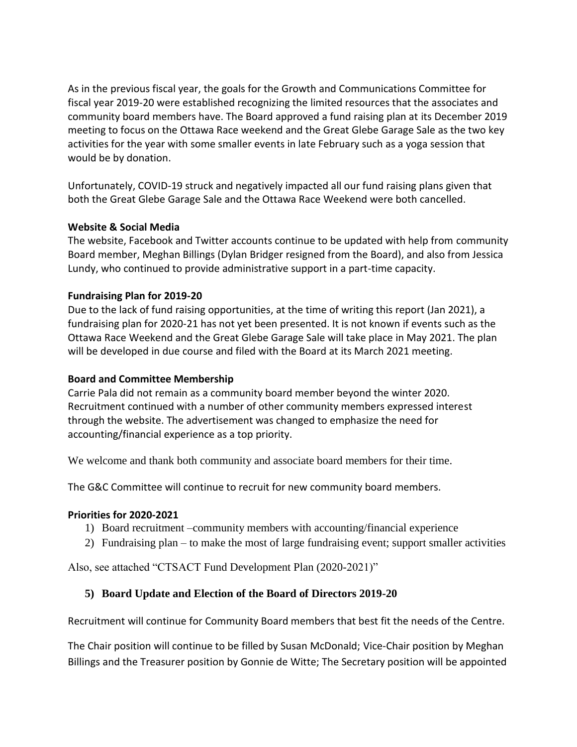As in the previous fiscal year, the goals for the Growth and Communications Committee for fiscal year 2019-20 were established recognizing the limited resources that the associates and community board members have. The Board approved a fund raising plan at its December 2019 meeting to focus on the Ottawa Race weekend and the Great Glebe Garage Sale as the two key activities for the year with some smaller events in late February such as a yoga session that would be by donation.

Unfortunately, COVID-19 struck and negatively impacted all our fund raising plans given that both the Great Glebe Garage Sale and the Ottawa Race Weekend were both cancelled.

#### **Website & Social Media**

The website, Facebook and Twitter accounts continue to be updated with help from community Board member, Meghan Billings (Dylan Bridger resigned from the Board), and also from Jessica Lundy, who continued to provide administrative support in a part-time capacity.

#### **Fundraising Plan for 2019-20**

Due to the lack of fund raising opportunities, at the time of writing this report (Jan 2021), a fundraising plan for 2020-21 has not yet been presented. It is not known if events such as the Ottawa Race Weekend and the Great Glebe Garage Sale will take place in May 2021. The plan will be developed in due course and filed with the Board at its March 2021 meeting.

#### **Board and Committee Membership**

Carrie Pala did not remain as a community board member beyond the winter 2020. Recruitment continued with a number of other community members expressed interest through the website. The advertisement was changed to emphasize the need for accounting/financial experience as a top priority.

We welcome and thank both community and associate board members for their time.

The G&C Committee will continue to recruit for new community board members.

#### **Priorities for 2020-2021**

- 1) Board recruitment –community members with accounting/financial experience
- 2) Fundraising plan to make the most of large fundraising event; support smaller activities

Also, see attached "CTSACT Fund Development Plan (2020-2021)"

#### **5) Board Update and Election of the Board of Directors 2019-20**

Recruitment will continue for Community Board members that best fit the needs of the Centre.

The Chair position will continue to be filled by Susan McDonald; Vice-Chair position by Meghan Billings and the Treasurer position by Gonnie de Witte; The Secretary position will be appointed